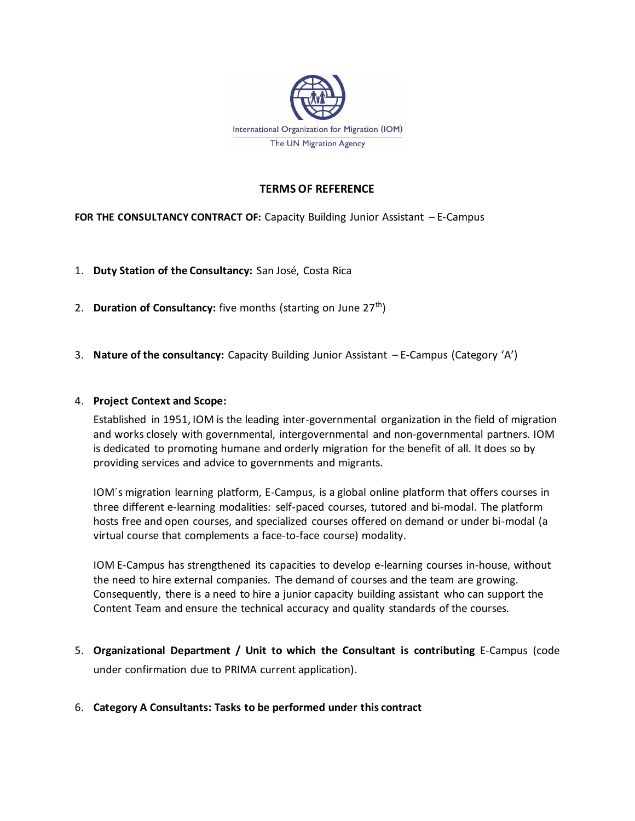

#### **TERMS OF REFERENCE**

# **FOR THE CONSULTANCY CONTRACT OF:** Capacity Building Junior Assistant – E-Campus

- 1. **Duty Station of the Consultancy:** San José, Costa Rica
- 2. **Duration of Consultancy:** five months (starting on June 27<sup>th</sup>)
- 3. **Nature of the consultancy:** Capacity Building Junior Assistant E-Campus (Category 'A')

#### 4. **Project Context and Scope:**

Established in 1951, IOM is the leading inter-governmental organization in the field of migration and works closely with governmental, intergovernmental and non-governmental partners. IOM is dedicated to promoting humane and orderly migration for the benefit of all. It does so by providing services and advice to governments and migrants.

IOM´s migration learning platform, E-Campus, is a global online platform that offers courses in three different e-learning modalities: self-paced courses, tutored and bi-modal. The platform hosts free and open courses, and specialized courses offered on demand or under bi-modal (a virtual course that complements a face-to-face course) modality.

IOM E-Campus has strengthened its capacities to develop e-learning courses in-house, without the need to hire external companies. The demand of courses and the team are growing. Consequently, there is a need to hire a junior capacity building assistant who can support the Content Team and ensure the technical accuracy and quality standards of the courses.

- 5. **Organizational Department / Unit to which the Consultant is contributing** E-Campus (code under confirmation due to PRIMA current application).
- 6. **Category A Consultants: Tasks to be performed under this contract**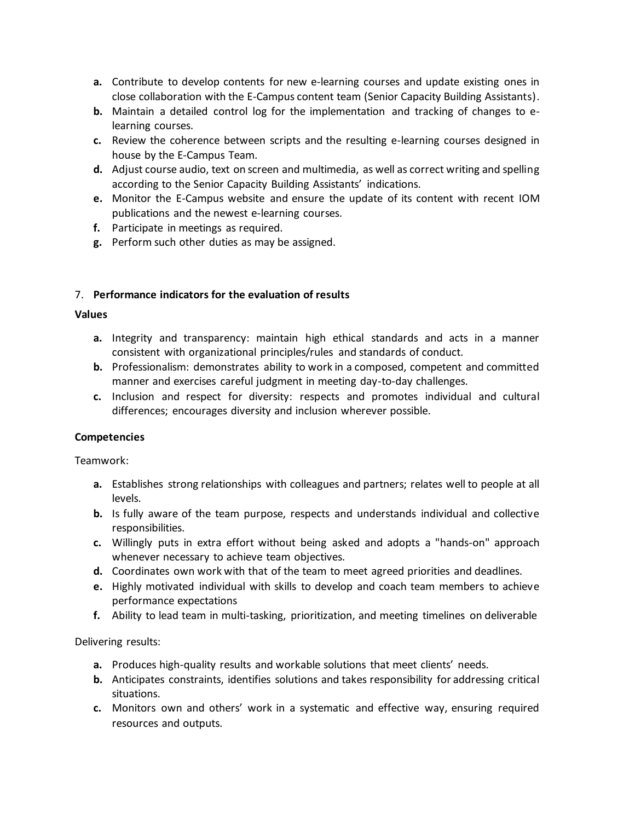- **a.** Contribute to develop contents for new e-learning courses and update existing ones in close collaboration with the E-Campus content team (Senior Capacity Building Assistants).
- **b.** Maintain a detailed control log for the implementation and tracking of changes to elearning courses.
- **c.** Review the coherence between scripts and the resulting e-learning courses designed in house by the E-Campus Team.
- **d.** Adjust course audio, text on screen and multimedia, as well as correct writing and spelling according to the Senior Capacity Building Assistants' indications.
- **e.** Monitor the E-Campus website and ensure the update of its content with recent IOM publications and the newest e-learning courses.
- **f.** Participate in meetings as required.
- **g.** Perform such other duties as may be assigned.

# 7. **Performance indicators for the evaluation of results**

## **Values**

- **a.** Integrity and transparency: maintain high ethical standards and acts in a manner consistent with organizational principles/rules and standards of conduct.
- **b.** Professionalism: demonstrates ability to work in a composed, competent and committed manner and exercises careful judgment in meeting day-to-day challenges.
- **c.** Inclusion and respect for diversity: respects and promotes individual and cultural differences; encourages diversity and inclusion wherever possible.

# **Competencies**

Teamwork:

- **a.** Establishes strong relationships with colleagues and partners; relates well to people at all levels.
- **b.** Is fully aware of the team purpose, respects and understands individual and collective responsibilities.
- **c.** Willingly puts in extra effort without being asked and adopts a "hands-on" approach whenever necessary to achieve team objectives.
- **d.** Coordinates own work with that of the team to meet agreed priorities and deadlines.
- **e.** Highly motivated individual with skills to develop and coach team members to achieve performance expectations
- **f.** Ability to lead team in multi-tasking, prioritization, and meeting timelines on deliverable

Delivering results:

- **a.** Produces high-quality results and workable solutions that meet clients' needs.
- **b.** Anticipates constraints, identifies solutions and takes responsibility for addressing critical situations.
- **c.** Monitors own and others' work in a systematic and effective way, ensuring required resources and outputs.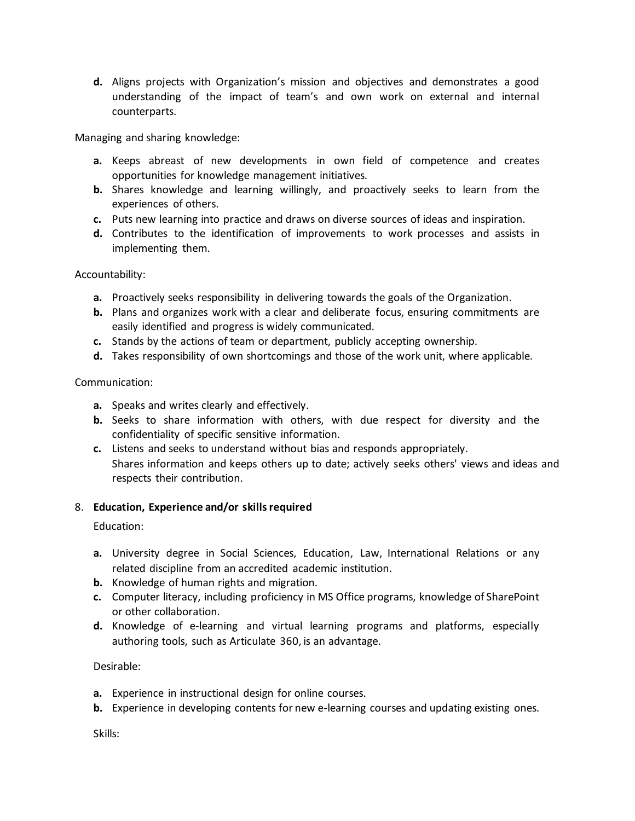**d.** Aligns projects with Organization's mission and objectives and demonstrates a good understanding of the impact of team's and own work on external and internal counterparts.

Managing and sharing knowledge:

- **a.** Keeps abreast of new developments in own field of competence and creates opportunities for knowledge management initiatives.
- **b.** Shares knowledge and learning willingly, and proactively seeks to learn from the experiences of others.
- **c.** Puts new learning into practice and draws on diverse sources of ideas and inspiration.
- **d.** Contributes to the identification of improvements to work processes and assists in implementing them.

Accountability:

- **a.** Proactively seeks responsibility in delivering towards the goals of the Organization.
- **b.** Plans and organizes work with a clear and deliberate focus, ensuring commitments are easily identified and progress is widely communicated.
- **c.** Stands by the actions of team or department, publicly accepting ownership.
- **d.** Takes responsibility of own shortcomings and those of the work unit, where applicable.

## Communication:

- **a.** Speaks and writes clearly and effectively.
- **b.** Seeks to share information with others, with due respect for diversity and the confidentiality of specific sensitive information.
- **c.** Listens and seeks to understand without bias and responds appropriately. Shares information and keeps others up to date; actively seeks others' views and ideas and respects their contribution.

#### 8. **Education, Experience and/or skills required**

Education:

- **a.** University degree in Social Sciences, Education, Law, International Relations or any related discipline from an accredited academic institution.
- **b.** Knowledge of human rights and migration.
- **c.** Computer literacy, including proficiency in MS Office programs, knowledge of SharePoint or other collaboration.
- **d.** Knowledge of e-learning and virtual learning programs and platforms, especially authoring tools, such as Articulate 360, is an advantage.

# Desirable:

- **a.** Experience in instructional design for online courses.
- **b.** Experience in developing contents for new e-learning courses and updating existing ones.

Skills: